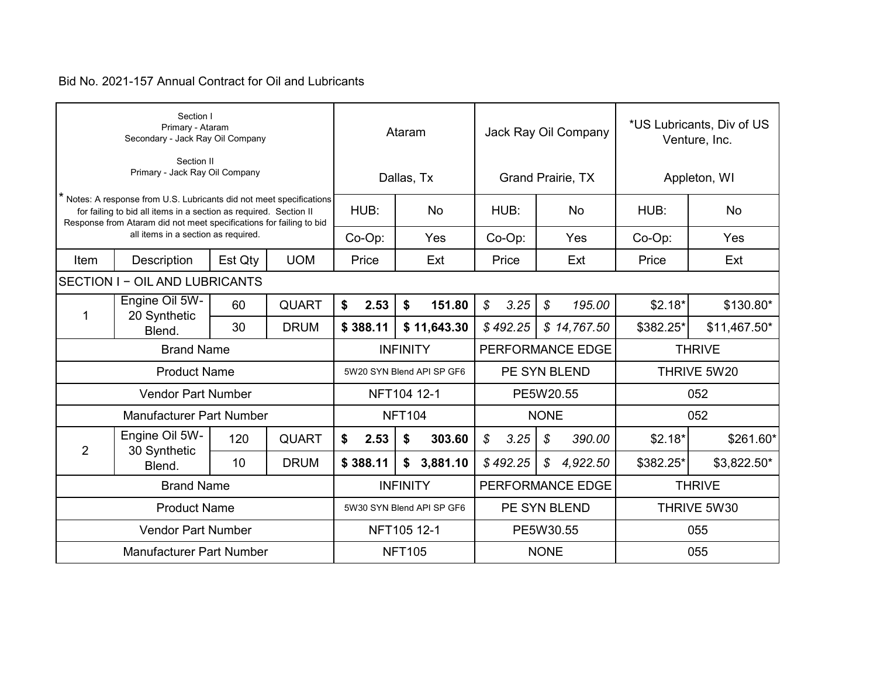|      | Section I<br>Primary - Ataram<br>Secondary - Jack Ray Oil Company                                                                                                                                              |         |              |                           |             | Ataram        |                           | Jack Ray Oil Company |          |               |                          | *US Lubricants, Div of US<br>Venture, Inc. |               |
|------|----------------------------------------------------------------------------------------------------------------------------------------------------------------------------------------------------------------|---------|--------------|---------------------------|-------------|---------------|---------------------------|----------------------|----------|---------------|--------------------------|--------------------------------------------|---------------|
|      | Section II<br>Primary - Jack Ray Oil Company                                                                                                                                                                   |         |              |                           |             |               | Dallas, Tx                |                      |          |               | <b>Grand Prairie, TX</b> | Appleton, WI                               |               |
|      | Notes: A response from U.S. Lubricants did not meet specifications<br>for failing to bid all items in a section as required. Section II<br>Response from Ataram did not meet specifications for failing to bid |         |              |                           | HUB:        |               | <b>No</b>                 |                      | HUB:     |               | <b>No</b>                | HUB:                                       | No            |
|      | all items in a section as required.                                                                                                                                                                            |         |              |                           | Co-Op:      |               | Yes                       |                      | Co-Op:   |               | Yes                      | Co-Op:                                     | Yes           |
| Item | Description                                                                                                                                                                                                    | Est Qty | <b>UOM</b>   |                           | Price       |               | Ext                       |                      | Price    |               | Ext                      | Price                                      | Ext           |
|      | <b>SECTION I - OIL AND LUBRICANTS</b>                                                                                                                                                                          |         |              |                           |             |               |                           |                      |          |               |                          |                                            |               |
|      | Engine Oil 5W-<br><b>QUART</b><br>60<br>1                                                                                                                                                                      |         |              | \$                        | 2.53        | \$            | 151.80                    | $\mathcal{S}$        | 3.25     | \$            | 195.00                   | $$2.18*$                                   | \$130.80*     |
|      | 20 Synthetic<br>30<br>Blend.                                                                                                                                                                                   |         | <b>DRUM</b>  |                           | \$388.11    |               | \$11,643.30               |                      | \$492.25 |               | \$14,767.50              | \$382.25*                                  | $$11,467.50*$ |
|      | <b>Brand Name</b>                                                                                                                                                                                              |         |              |                           |             |               | <b>INFINITY</b>           |                      |          |               | PERFORMANCE EDGE         |                                            | <b>THRIVE</b> |
|      | <b>Product Name</b>                                                                                                                                                                                            |         |              | 5W20 SYN Blend API SP GF6 |             |               |                           |                      |          | PE SYN BLEND  |                          | THRIVE 5W20                                |               |
|      | <b>Vendor Part Number</b>                                                                                                                                                                                      |         |              |                           |             |               | NFT104 12-1               | PE5W20.55            |          |               |                          | 052                                        |               |
|      | <b>Manufacturer Part Number</b>                                                                                                                                                                                |         |              |                           |             | <b>NFT104</b> |                           |                      |          | <b>NONE</b>   |                          |                                            | 052           |
| 2    | Engine Oil 5W-                                                                                                                                                                                                 | 120     | <b>QUART</b> | \$                        | 2.53        | \$            | 303.60                    | $\mathcal{L}$        | 3.25     | \$            | 390.00                   | $$2.18*$                                   | \$261.60*     |
|      | 30 Synthetic<br>Blend.                                                                                                                                                                                         | 10      | <b>DRUM</b>  |                           | \$388.11    |               | \$3,881.10                |                      | \$492.25 | $\mathcal{S}$ | 4,922.50                 | \$382.25*                                  | \$3,822.50*   |
|      | <b>Brand Name</b>                                                                                                                                                                                              |         |              |                           |             |               | <b>INFINITY</b>           |                      |          |               | PERFORMANCE EDGE         |                                            | <b>THRIVE</b> |
|      | <b>Product Name</b>                                                                                                                                                                                            |         |              |                           |             |               | 5W30 SYN Blend API SP GF6 |                      |          |               | PE SYN BLEND             |                                            | THRIVE 5W30   |
|      | <b>Vendor Part Number</b>                                                                                                                                                                                      |         |              |                           | NFT105 12-1 |               | PE5W30.55                 |                      |          |               | 055                      |                                            |               |
|      | <b>Manufacturer Part Number</b>                                                                                                                                                                                |         |              |                           |             | <b>NFT105</b> |                           |                      |          | <b>NONE</b>   |                          | 055                                        |               |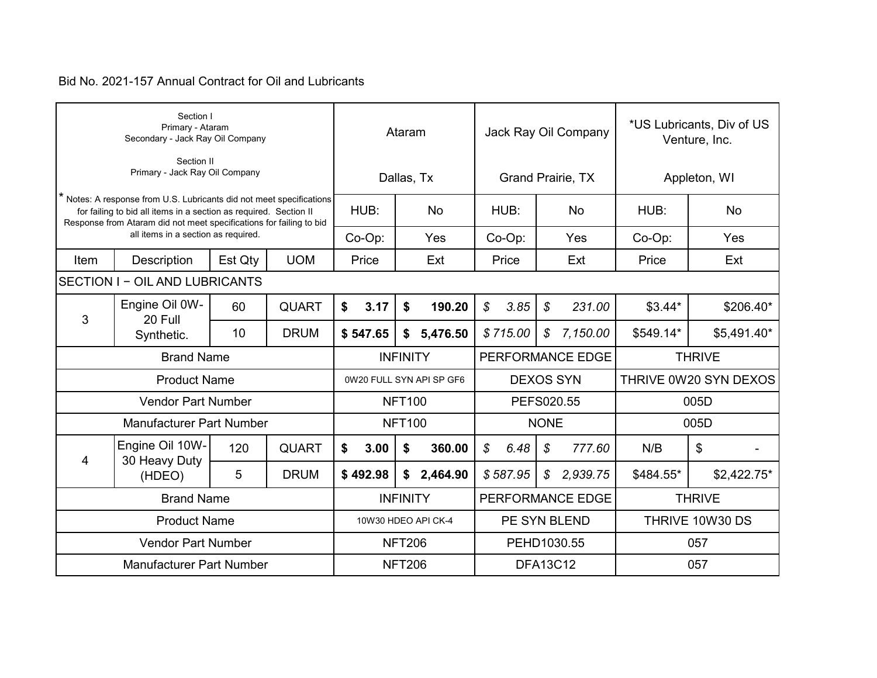|      | Section I<br>Primary - Ataram<br>Secondary - Jack Ray Oil Company                                                                                                                                              |         |              |                          | Ataram          |                     | Jack Ray Oil Company                  |                  |               |                   | *US Lubricants, Div of US<br>Venture, Inc. |               |             |
|------|----------------------------------------------------------------------------------------------------------------------------------------------------------------------------------------------------------------|---------|--------------|--------------------------|-----------------|---------------------|---------------------------------------|------------------|---------------|-------------------|--------------------------------------------|---------------|-------------|
|      | Section II<br>Primary - Jack Ray Oil Company                                                                                                                                                                   |         |              |                          |                 | Dallas, Tx          |                                       |                  |               | Grand Prairie, TX | Appleton, WI                               |               |             |
|      | Notes: A response from U.S. Lubricants did not meet specifications<br>for failing to bid all items in a section as required. Section II<br>Response from Ataram did not meet specifications for failing to bid |         |              | HUB:                     |                 | <b>No</b>           |                                       | HUB:             |               | <b>No</b>         | HUB:                                       |               | <b>No</b>   |
|      | all items in a section as required.                                                                                                                                                                            |         |              | Co-Op:                   |                 | Yes                 |                                       | Co-Op:           |               | Yes               | Co-Op:                                     |               | Yes         |
| Item | Description                                                                                                                                                                                                    | Est Qty | <b>UOM</b>   | Price                    |                 | Ext                 |                                       | Price            |               | Ext               | Price                                      |               | Ext         |
|      | SECTION I - OIL AND LUBRICANTS                                                                                                                                                                                 |         |              |                          |                 |                     |                                       |                  |               |                   |                                            |               |             |
|      | Engine Oil 0W-<br><b>QUART</b><br>60<br>20 Full                                                                                                                                                                |         |              | \$<br>3.17               | \$              | 190.20              | \$                                    | 3.85             | $\mathcal{L}$ | 231.00            | $$3.44*$                                   |               | \$206.40*   |
|      | 3<br>10<br><b>DRUM</b><br>Synthetic.                                                                                                                                                                           |         |              |                          | \$              | 5,476.50            |                                       | \$715.00         | $\mathcal{S}$ | 7,150.00          | \$549.14*                                  |               | \$5,491.40* |
|      | <b>Brand Name</b>                                                                                                                                                                                              |         |              |                          | <b>INFINITY</b> |                     | PERFORMANCE EDGE                      |                  |               |                   |                                            | <b>THRIVE</b> |             |
|      | <b>Product Name</b>                                                                                                                                                                                            |         |              | 0W20 FULL SYN API SP GF6 |                 |                     |                                       | <b>DEXOS SYN</b> |               |                   | THRIVE 0W20 SYN DEXOS                      |               |             |
|      | <b>Vendor Part Number</b>                                                                                                                                                                                      |         |              |                          | <b>NFT100</b>   |                     | PEFS020.55                            |                  |               |                   | 005D                                       |               |             |
|      | <b>Manufacturer Part Number</b>                                                                                                                                                                                |         |              |                          | <b>NFT100</b>   |                     |                                       |                  | <b>NONE</b>   |                   |                                            | 005D          |             |
| 4    | Engine Oil 10W-<br>30 Heavy Duty                                                                                                                                                                               | 120     | <b>QUART</b> | \$<br>3.00               | \$              | 360.00              | \$                                    | 6.48             | \$            | 777.60            | N/B                                        | \$            |             |
|      | (HDEO)                                                                                                                                                                                                         | 5       | <b>DRUM</b>  | \$492.98                 | \$              | 2,464.90            | \$587.95<br>$\mathcal{S}$<br>2,939.75 |                  |               | \$484.55*         |                                            | \$2,422.75*   |             |
|      | <b>Brand Name</b>                                                                                                                                                                                              |         |              |                          | <b>INFINITY</b> |                     |                                       |                  |               | PERFORMANCE EDGE  |                                            | <b>THRIVE</b> |             |
|      | <b>Product Name</b>                                                                                                                                                                                            |         |              |                          |                 | 10W30 HDEO API CK-4 |                                       | PE SYN BLEND     |               |                   | THRIVE 10W30 DS                            |               |             |
|      | <b>Vendor Part Number</b>                                                                                                                                                                                      |         |              | <b>NFT206</b>            |                 |                     | PEHD1030.55                           |                  |               |                   | 057                                        |               |             |
|      | <b>Manufacturer Part Number</b>                                                                                                                                                                                |         |              |                          | <b>NFT206</b>   |                     | <b>DFA13C12</b>                       |                  |               | 057               |                                            |               |             |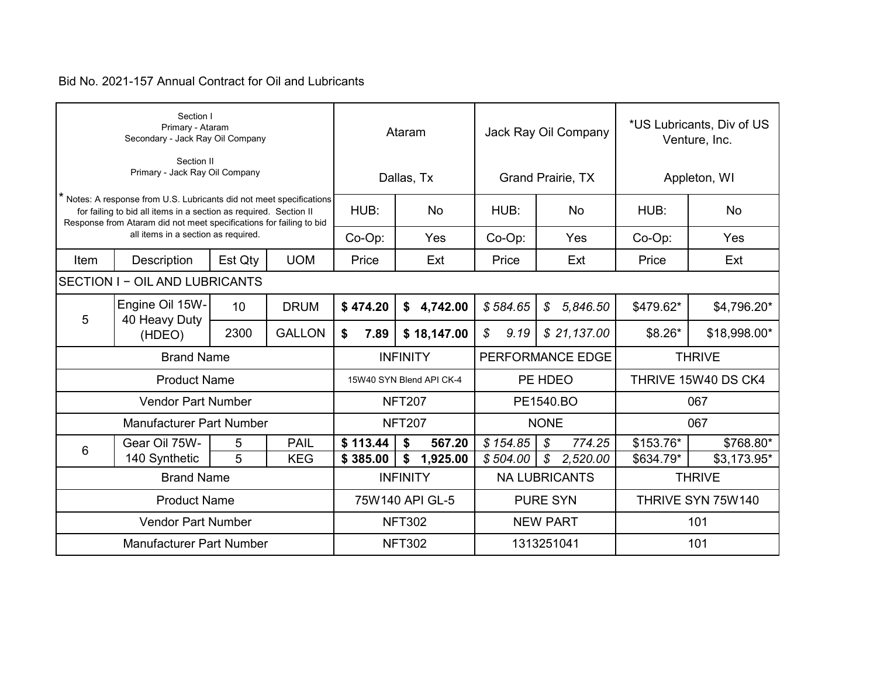|                   | Section I<br>Primary - Ataram<br>Secondary - Jack Ray Oil Company                                                                                                                                              |             |               |                | Ataram                   |                | Jack Ray Oil Company                   | *US Lubricants, Div of US<br>Venture, Inc. |               |  |
|-------------------|----------------------------------------------------------------------------------------------------------------------------------------------------------------------------------------------------------------|-------------|---------------|----------------|--------------------------|----------------|----------------------------------------|--------------------------------------------|---------------|--|
|                   | Section II<br>Primary - Jack Ray Oil Company                                                                                                                                                                   |             |               |                | Dallas, Tx               |                | <b>Grand Prairie, TX</b>               |                                            | Appleton, WI  |  |
|                   | Notes: A response from U.S. Lubricants did not meet specifications<br>for failing to bid all items in a section as required. Section II<br>Response from Ataram did not meet specifications for failing to bid |             |               | HUB:           | <b>No</b>                | HUB:           | <b>No</b>                              | HUB:                                       | <b>No</b>     |  |
|                   | all items in a section as required.                                                                                                                                                                            |             |               | Co-Op:         | Yes                      | Co-Op:         | Yes                                    | Co-Op:                                     | Yes           |  |
| Item              | Description                                                                                                                                                                                                    | Est Qty     | <b>UOM</b>    | Price          | Ext                      | Price          | Ext                                    | Price                                      | Ext           |  |
|                   | <b>SECTION I - OIL AND LUBRICANTS</b>                                                                                                                                                                          |             |               |                |                          |                |                                        |                                            |               |  |
| 5                 | Engine Oil 15W-<br>40 Heavy Duty                                                                                                                                                                               | <b>DRUM</b> | \$474.20      | 4,742.00<br>\$ | \$584.65                 | 5,846.50<br>\$ | \$479.62*                              | \$4,796.20*                                |               |  |
|                   | (HDEO)                                                                                                                                                                                                         | 2300        | <b>GALLON</b> | 7.89<br>\$     | \$18,147.00              | \$<br>9.19     | \$21,137.00                            | $$8.26*$                                   | \$18,998.00*  |  |
|                   | <b>Brand Name</b>                                                                                                                                                                                              |             |               |                | <b>INFINITY</b>          |                | PERFORMANCE EDGE                       |                                            | <b>THRIVE</b> |  |
|                   | <b>Product Name</b>                                                                                                                                                                                            |             |               |                | 15W40 SYN Blend API CK-4 |                | PE HDEO                                | THRIVE 15W40 DS CK4                        |               |  |
|                   | <b>Vendor Part Number</b>                                                                                                                                                                                      |             |               |                | <b>NFT207</b>            |                | PE1540.BO                              |                                            | 067           |  |
|                   | <b>Manufacturer Part Number</b>                                                                                                                                                                                |             |               |                | <b>NFT207</b>            |                | <b>NONE</b>                            |                                            | 067           |  |
| 6                 | Gear Oil 75W-                                                                                                                                                                                                  | 5           | <b>PAIL</b>   | \$113.44       | \$<br>567.20             | \$154.85       | $\mathcal{S}$<br>774.25                | \$153.76*                                  | \$768.80*     |  |
|                   | 140 Synthetic                                                                                                                                                                                                  | 5           | <b>KEG</b>    | \$385.00       | 1,925.00<br>\$           | \$504.00       | $\boldsymbol{\mathcal{S}}$<br>2,520.00 | \$634.79*                                  | \$3,173.95*   |  |
| <b>Brand Name</b> |                                                                                                                                                                                                                |             |               |                | <b>INFINITY</b>          |                | <b>NA LUBRICANTS</b>                   |                                            | <b>THRIVE</b> |  |
|                   | <b>Product Name</b>                                                                                                                                                                                            |             |               |                | 75W140 API GL-5          |                | <b>PURE SYN</b>                        | THRIVE SYN 75W140                          |               |  |
|                   | <b>Vendor Part Number</b>                                                                                                                                                                                      |             |               |                | <b>NFT302</b>            |                | <b>NEW PART</b>                        |                                            | 101           |  |
|                   | <b>Manufacturer Part Number</b>                                                                                                                                                                                |             |               |                | <b>NFT302</b>            |                | 1313251041                             | 101                                        |               |  |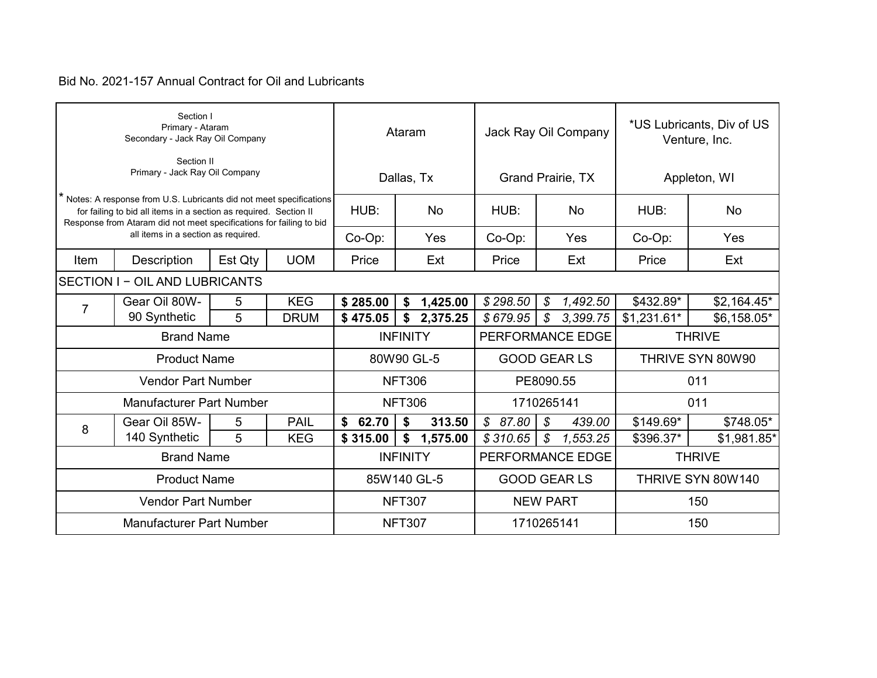|      | Section I<br>Primary - Ataram<br>Secondary - Jack Ray Oil Company                                                                                                                                                |         |             |             | Ataram          |          | Jack Ray Oil Company      | *US Lubricants, Div of US<br>Venture, Inc. |                   |
|------|------------------------------------------------------------------------------------------------------------------------------------------------------------------------------------------------------------------|---------|-------------|-------------|-----------------|----------|---------------------------|--------------------------------------------|-------------------|
|      | Section II<br>Primary - Jack Ray Oil Company                                                                                                                                                                     |         |             |             | Dallas, Tx      |          | Grand Prairie, TX         |                                            | Appleton, WI      |
|      | * Notes: A response from U.S. Lubricants did not meet specifications<br>for failing to bid all items in a section as required. Section II<br>Response from Ataram did not meet specifications for failing to bid |         |             | HUB:        | <b>No</b>       | HUB:     | <b>No</b>                 | HUB:                                       | No                |
|      | all items in a section as required.                                                                                                                                                                              |         |             | Co-Op:      | Yes             | Co-Op:   | Yes                       | Co-Op:                                     | Yes               |
| Item | Description                                                                                                                                                                                                      | Est Qty | <b>UOM</b>  | Price       | Ext             | Price    | Ext                       | Price                                      | Ext               |
|      | SECTION I - OIL AND LUBRICANTS                                                                                                                                                                                   |         |             |             |                 |          |                           |                                            |                   |
|      | Gear Oil 80W-                                                                                                                                                                                                    | 5       | <b>KEG</b>  | \$285.00    | 1,425.00<br>\$  | \$298.50 | S<br>1,492.50             | \$432.89*                                  | $$2,164.45*$      |
|      | $\overline{7}$<br>90 Synthetic<br>5<br><b>DRUM</b>                                                                                                                                                               |         |             |             | 2,375.25<br>\$  | \$679.95 | $\mathcal{S}$<br>3,399.75 | $$1,231.61*$                               | \$6,158.05*       |
|      | <b>Brand Name</b>                                                                                                                                                                                                |         |             |             | <b>INFINITY</b> |          | PERFORMANCE EDGE          |                                            | <b>THRIVE</b>     |
|      | <b>Product Name</b>                                                                                                                                                                                              |         |             |             | 80W90 GL-5      |          | <b>GOOD GEAR LS</b>       | THRIVE SYN 80W90                           |                   |
|      | <b>Vendor Part Number</b>                                                                                                                                                                                        |         |             |             | <b>NFT306</b>   |          | PE8090.55                 |                                            | 011               |
|      | <b>Manufacturer Part Number</b>                                                                                                                                                                                  |         |             |             | <b>NFT306</b>   |          | 1710265141                |                                            | 011               |
| 8    | Gear Oil 85W-                                                                                                                                                                                                    | 5       | <b>PAIL</b> | \$<br>62.70 | \$<br>313.50    | \$87.80  | \$<br>439.00              | \$149.69*                                  | \$748.05*         |
|      | 140 Synthetic                                                                                                                                                                                                    | 5       | <b>KEG</b>  | \$315.00    | \$<br>1,575.00  | \$310.65 | $\mathcal{S}$<br>1,553.25 | \$396.37*                                  | \$1,981.85*       |
|      | <b>Brand Name</b>                                                                                                                                                                                                |         |             |             | <b>INFINITY</b> |          | PERFORMANCE EDGE          |                                            | <b>THRIVE</b>     |
|      | <b>Product Name</b>                                                                                                                                                                                              |         |             |             | 85W140 GL-5     |          | <b>GOOD GEAR LS</b>       |                                            | THRIVE SYN 80W140 |
|      | <b>Vendor Part Number</b>                                                                                                                                                                                        |         |             |             | <b>NFT307</b>   |          | <b>NEW PART</b>           |                                            | 150               |
|      | <b>Manufacturer Part Number</b>                                                                                                                                                                                  |         |             |             | <b>NFT307</b>   |          | 1710265141                | 150                                        |                   |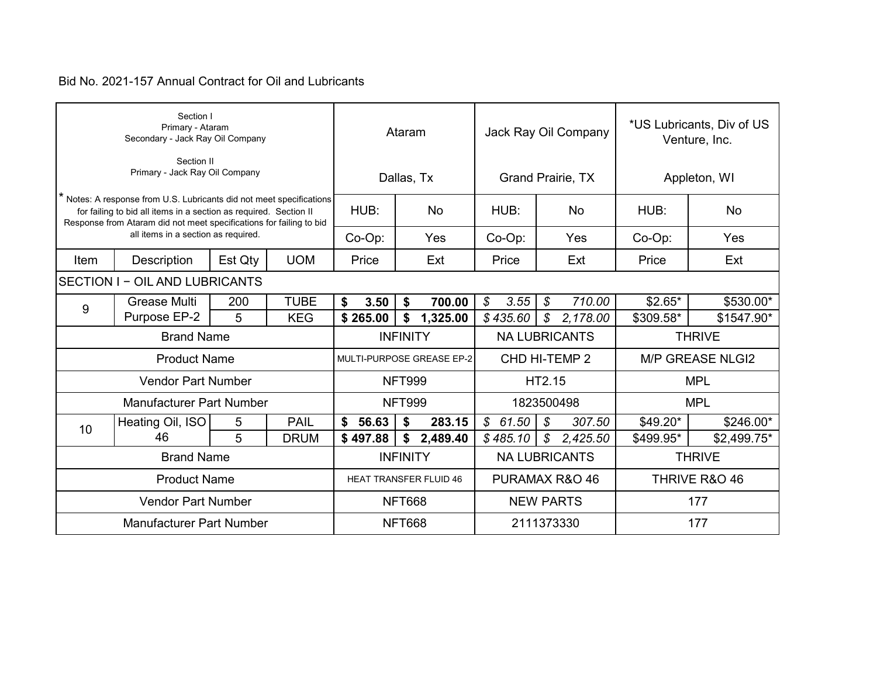|      | Section I<br>Primary - Ataram<br>Secondary - Jack Ray Oil Company                                                                                                                                              |             |             | Ataram                    |                 |                               | Jack Ray Oil Company |                      |               |                          | *US Lubricants, Div of US<br>Venture, Inc. |                         |
|------|----------------------------------------------------------------------------------------------------------------------------------------------------------------------------------------------------------------|-------------|-------------|---------------------------|-----------------|-------------------------------|----------------------|----------------------|---------------|--------------------------|--------------------------------------------|-------------------------|
|      | Section II<br>Primary - Jack Ray Oil Company                                                                                                                                                                   |             |             |                           | Dallas, Tx      |                               |                      |                      |               | <b>Grand Prairie, TX</b> | Appleton, WI                               |                         |
|      | Notes: A response from U.S. Lubricants did not meet specifications<br>for failing to bid all items in a section as required. Section II<br>Response from Ataram did not meet specifications for failing to bid |             |             | HUB:                      |                 | <b>No</b>                     |                      | HUB:                 |               | <b>No</b>                | HUB:                                       | <b>No</b>               |
|      | all items in a section as required.                                                                                                                                                                            |             |             | Co-Op:                    |                 | Yes                           |                      | Co-Op:               |               | Yes                      | Co-Op:                                     | Yes                     |
| Item | Description                                                                                                                                                                                                    | Est Qty     | <b>UOM</b>  | Price                     |                 | Ext                           |                      | Price                |               | Ext                      | Price                                      | Ext                     |
|      | <b>SECTION I - OIL AND LUBRICANTS</b><br>200                                                                                                                                                                   |             |             |                           |                 |                               |                      |                      |               |                          |                                            |                         |
| 9    | <b>Grease Multi</b>                                                                                                                                                                                            | <b>TUBE</b> | \$<br>3.50  | \$                        | 700.00          | $\boldsymbol{\mathcal{S}}$    | 3.55                 | $\mathcal{L}$        | 710.00        | $$2.65*$                 | \$530.00*                                  |                         |
|      | Purpose EP-2                                                                                                                                                                                                   | 5           | <b>KEG</b>  | \$265.00                  | \$              | 1,325.00                      |                      | \$435.60             | \$            | 2,178.00                 | \$309.58*                                  | \$1547.90*              |
|      | <b>Brand Name</b>                                                                                                                                                                                              |             |             |                           | <b>INFINITY</b> |                               |                      | <b>NA LUBRICANTS</b> |               |                          |                                            | <b>THRIVE</b>           |
|      | <b>Product Name</b>                                                                                                                                                                                            |             |             | MULTI-PURPOSE GREASE EP-2 |                 |                               | CHD HI-TEMP 2        |                      |               |                          |                                            | <b>M/P GREASE NLGI2</b> |
|      | <b>Vendor Part Number</b>                                                                                                                                                                                      |             |             |                           | <b>NFT999</b>   |                               |                      |                      | HT2.15        |                          |                                            | <b>MPL</b>              |
|      | <b>Manufacturer Part Number</b>                                                                                                                                                                                |             |             |                           | <b>NFT999</b>   |                               |                      | 1823500498           |               |                          |                                            | <b>MPL</b>              |
| 10   | Heating Oil, ISO                                                                                                                                                                                               | 5           | <b>PAIL</b> | \$56.63                   | \$              | 283.15                        |                      | \$61.50              | \$            | 307.50                   | $$49.20*$                                  | \$246.00*               |
|      | 46                                                                                                                                                                                                             | 5           | <b>DRUM</b> | \$497.88                  | \$              | 2,489.40                      |                      | \$485.10             | $\mathcal{S}$ | 2,425.50                 | \$499.95*                                  | \$2,499.75*             |
|      | <b>Brand Name</b>                                                                                                                                                                                              |             |             |                           | <b>INFINITY</b> |                               |                      | <b>NA LUBRICANTS</b> |               |                          |                                            | <b>THRIVE</b>           |
|      | <b>Product Name</b>                                                                                                                                                                                            |             |             |                           |                 | <b>HEAT TRANSFER FLUID 46</b> |                      |                      |               | PURAMAX R&O 46           | THRIVE R&O 46                              |                         |
|      | <b>Vendor Part Number</b>                                                                                                                                                                                      |             |             |                           | <b>NFT668</b>   |                               | <b>NEW PARTS</b>     |                      |               |                          | 177                                        |                         |
|      | <b>Manufacturer Part Number</b>                                                                                                                                                                                |             |             |                           | <b>NFT668</b>   |                               |                      | 2111373330           |               |                          | 177                                        |                         |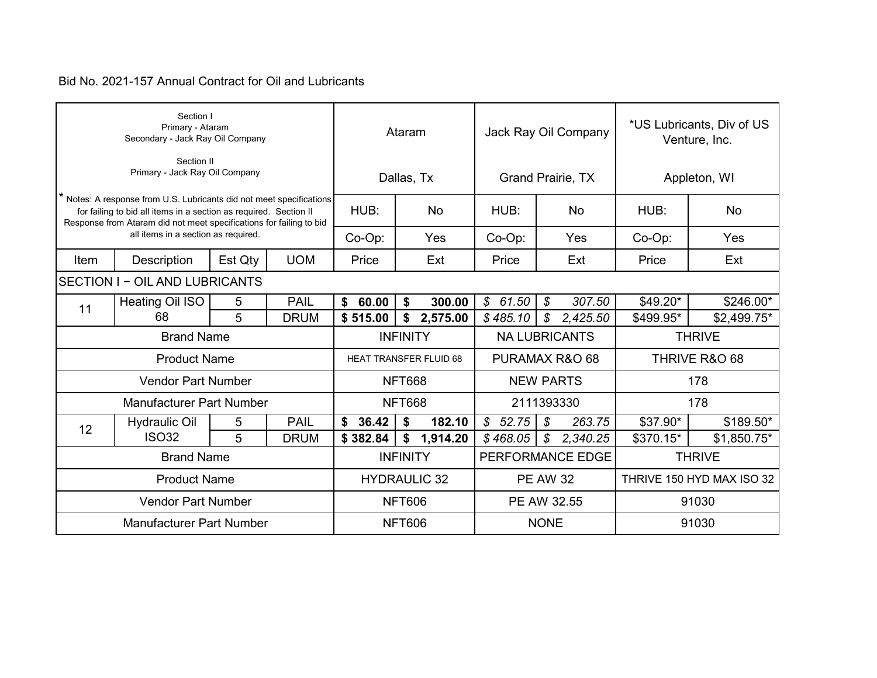|      | Section I<br>Primary - Ataram<br>Secondary - Jack Ray Oil Company                                                                                                                                              |             |             |                                                 | Ataram                       |                         | Jack Ray Oil Company                   | *US Lubricants, Div of US<br>Venture, Inc. |                           |
|------|----------------------------------------------------------------------------------------------------------------------------------------------------------------------------------------------------------------|-------------|-------------|-------------------------------------------------|------------------------------|-------------------------|----------------------------------------|--------------------------------------------|---------------------------|
|      | Section II<br>Primary - Jack Ray Oil Company                                                                                                                                                                   |             |             |                                                 | Dallas, Tx                   |                         | Grand Prairie, TX                      | Appleton, WI                               |                           |
|      | Notes: A response from U.S. Lubricants did not meet specifications<br>for failing to bid all items in a section as required. Section II<br>Response from Ataram did not meet specifications for failing to bid |             |             | HUB:                                            | <b>No</b>                    | HUB:                    | <b>No</b>                              | HUB:                                       | No                        |
|      | all items in a section as required.                                                                                                                                                                            |             |             | Co-Op:                                          | Yes                          | Co-Op:                  | Yes                                    | Co-Op:                                     | Yes                       |
| Item | Description                                                                                                                                                                                                    | Est Qty     | <b>UOM</b>  | Price                                           | Ext                          | Price                   | Ext                                    | Price                                      | Ext                       |
|      | <b>SECTION I - OIL AND LUBRICANTS</b><br>5                                                                                                                                                                     |             |             |                                                 |                              |                         |                                        |                                            |                           |
|      | Heating Oil ISO                                                                                                                                                                                                | <b>PAIL</b> | \$<br>60.00 | \$<br>300.00                                    | \$61.50                      | $\mathcal{S}$<br>307.50 | $$49.20*$                              | \$246.00*                                  |                           |
|      | 11<br>5<br>68<br><b>DRUM</b>                                                                                                                                                                                   |             |             |                                                 | 2,575.00<br>\$               | \$485.10                | $\boldsymbol{\mathcal{S}}$<br>2,425.50 | \$499.95*                                  | \$2,499.75*               |
|      | <b>Brand Name</b>                                                                                                                                                                                              |             |             |                                                 | <b>INFINITY</b>              |                         | <b>NA LUBRICANTS</b>                   |                                            | <b>THRIVE</b>             |
|      | <b>Product Name</b>                                                                                                                                                                                            |             |             | PURAMAX R&O 68<br><b>HEAT TRANSFER FLUID 68</b> |                              |                         |                                        |                                            | THRIVE R&O 68             |
|      | <b>Vendor Part Number</b>                                                                                                                                                                                      |             |             |                                                 | <b>NFT668</b>                |                         | <b>NEW PARTS</b>                       | 178                                        |                           |
|      | <b>Manufacturer Part Number</b>                                                                                                                                                                                |             |             |                                                 | <b>NFT668</b>                |                         | 2111393330                             |                                            | 178                       |
| 12   | <b>Hydraulic Oil</b>                                                                                                                                                                                           | 5           | <b>PAIL</b> | \$36.42                                         | \$<br>182.10                 | \$52.75                 | \$<br>263.75                           | \$37.90*                                   | \$189.50*                 |
|      | <b>ISO32</b>                                                                                                                                                                                                   | 5           | <b>DRUM</b> | \$382.84                                        | \$<br>1,914.20               | \$468.05                | $\mathcal{L}$<br>2,340.25              | \$370.15*                                  | \$1,850.75*               |
|      | <b>Brand Name</b>                                                                                                                                                                                              |             |             |                                                 | <b>INFINITY</b>              |                         | PERFORMANCE EDGE                       |                                            | <b>THRIVE</b>             |
|      | <b>Product Name</b>                                                                                                                                                                                            |             |             |                                                 | <b>HYDRAULIC 32</b>          |                         | <b>PE AW 32</b>                        |                                            | THRIVE 150 HYD MAX ISO 32 |
|      | <b>Vendor Part Number</b>                                                                                                                                                                                      |             |             |                                                 | <b>NFT606</b><br>PE AW 32.55 |                         |                                        | 91030                                      |                           |
|      | <b>Manufacturer Part Number</b>                                                                                                                                                                                |             |             |                                                 | <b>NFT606</b>                |                         | <b>NONE</b>                            | 91030                                      |                           |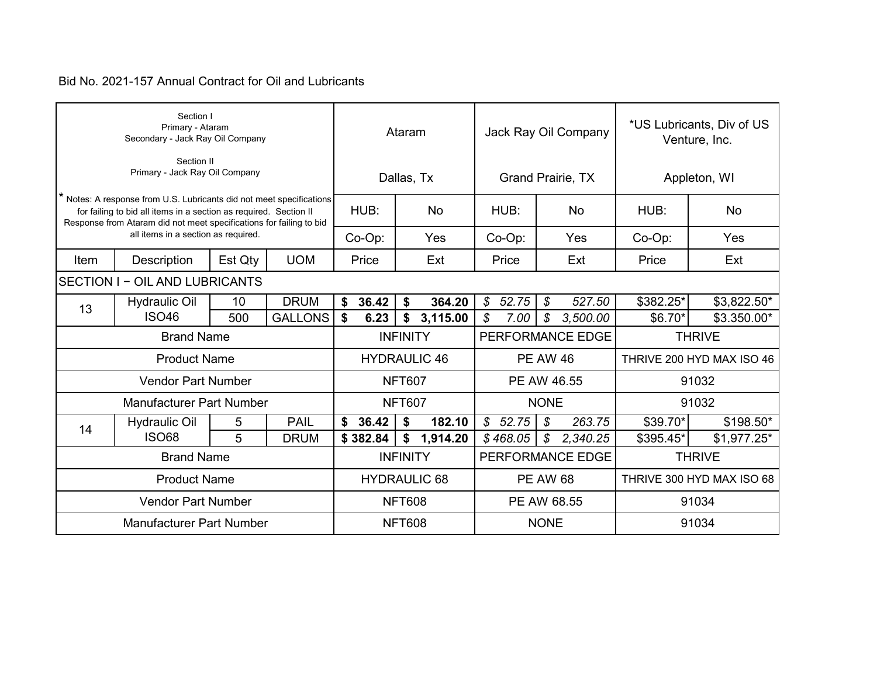|      | Section I<br>Primary - Ataram<br>Secondary - Jack Ray Oil Company                                                                                                                                              |                |             |                     | Ataram          |                     | Jack Ray Oil Company |                          |               |                  | *US Lubricants, Div of US<br>Venture, Inc. |                           |  |
|------|----------------------------------------------------------------------------------------------------------------------------------------------------------------------------------------------------------------|----------------|-------------|---------------------|-----------------|---------------------|----------------------|--------------------------|---------------|------------------|--------------------------------------------|---------------------------|--|
|      | Section II<br>Primary - Jack Ray Oil Company                                                                                                                                                                   |                |             |                     | Dallas, Tx      |                     |                      | <b>Grand Prairie, TX</b> |               |                  | Appleton, WI                               |                           |  |
|      | Notes: A response from U.S. Lubricants did not meet specifications<br>for failing to bid all items in a section as required. Section II<br>Response from Ataram did not meet specifications for failing to bid |                |             | HUB:                |                 | <b>No</b>           |                      | HUB:                     |               | <b>No</b>        | HUB:                                       | <b>No</b>                 |  |
|      | all items in a section as required.                                                                                                                                                                            |                |             | Co-Op:              |                 | Yes                 |                      | Co-Op:                   |               | Yes              | Co-Op:                                     | Yes                       |  |
| Item | Description                                                                                                                                                                                                    | Est Qty        | <b>UOM</b>  | Price               |                 | Ext                 |                      | Price                    |               | Ext              | Price                                      | Ext                       |  |
|      | <b>SECTION I - OIL AND LUBRICANTS</b><br>10                                                                                                                                                                    |                |             |                     |                 |                     |                      |                          |               |                  |                                            |                           |  |
| 13   | <b>Hydraulic Oil</b>                                                                                                                                                                                           | <b>DRUM</b>    | \$<br>36.42 | \$                  | 364.20          | $\mathcal{L}$       | 52.75                | $\mathcal{S}$            | 527.50        | \$382.25*        | \$3,822.50*                                |                           |  |
|      | <b>ISO46</b>                                                                                                                                                                                                   | <b>GALLONS</b> | \$<br>6.23  | \$                  | 3,115.00        | \$                  | 7.00                 | \$                       | 3,500.00      | \$6.70*          | \$3.350.00*                                |                           |  |
|      | <b>Brand Name</b>                                                                                                                                                                                              |                |             |                     | <b>INFINITY</b> |                     |                      |                          |               | PERFORMANCE EDGE |                                            | <b>THRIVE</b>             |  |
|      | <b>Product Name</b>                                                                                                                                                                                            |                |             | <b>HYDRAULIC 46</b> |                 |                     | <b>PE AW 46</b>      |                          |               |                  | THRIVE 200 HYD MAX ISO 46                  |                           |  |
|      | <b>Vendor Part Number</b>                                                                                                                                                                                      |                |             |                     | <b>NFT607</b>   |                     |                      | PE AW 46.55              |               |                  |                                            | 91032                     |  |
|      | <b>Manufacturer Part Number</b>                                                                                                                                                                                |                |             |                     | <b>NFT607</b>   |                     |                      |                          | <b>NONE</b>   |                  |                                            | 91032                     |  |
| 14   | <b>Hydraulic Oil</b>                                                                                                                                                                                           | 5              | <b>PAIL</b> | \$36.42             | \$              | 182.10              |                      | \$52.75                  | \$            | 263.75           | \$39.70*                                   | $$198.50*$                |  |
|      | <b>ISO68</b>                                                                                                                                                                                                   | 5              | <b>DRUM</b> | \$382.84            | \$              | 1,914.20            |                      | \$468.05                 | $\mathcal{S}$ | 2,340.25         | \$395.45*                                  | \$1,977.25*               |  |
|      | <b>Brand Name</b>                                                                                                                                                                                              |                |             |                     | <b>INFINITY</b> |                     |                      |                          |               | PERFORMANCE EDGE |                                            | <b>THRIVE</b>             |  |
|      | <b>Product Name</b>                                                                                                                                                                                            |                |             |                     |                 | <b>HYDRAULIC 68</b> |                      | <b>PE AW 68</b>          |               |                  |                                            | THRIVE 300 HYD MAX ISO 68 |  |
|      | <b>Vendor Part Number</b>                                                                                                                                                                                      |                |             |                     | <b>NFT608</b>   |                     | PE AW 68.55          |                          |               | 91034            |                                            |                           |  |
|      | <b>Manufacturer Part Number</b>                                                                                                                                                                                |                |             |                     | <b>NFT608</b>   |                     |                      |                          | <b>NONE</b>   |                  | 91034                                      |                           |  |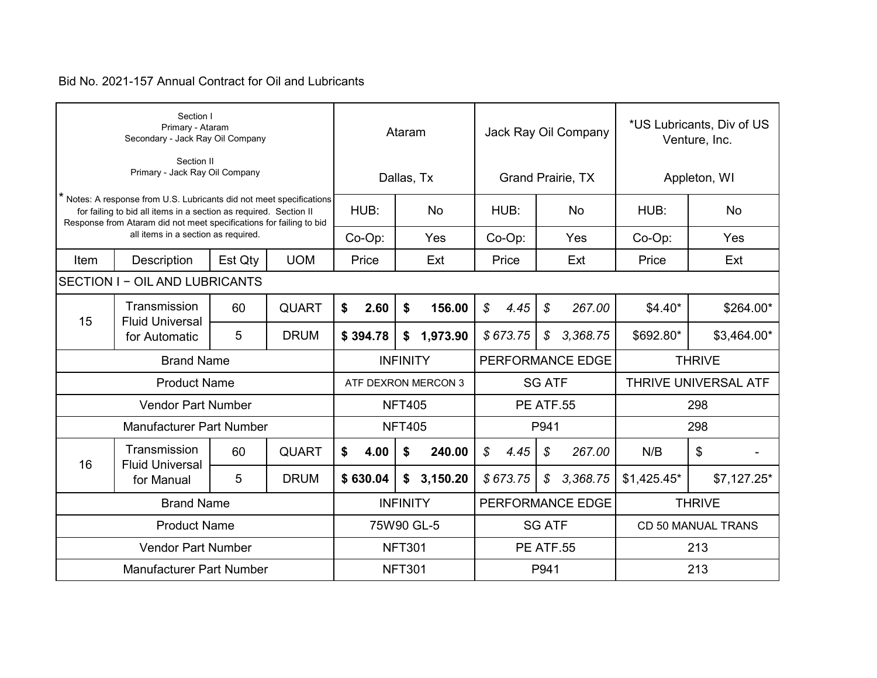|      | Section I<br>Primary - Ataram<br>Secondary - Jack Ray Oil Company                                                                                                                                                |         |              |                                     |      | Ataram           |            | Jack Ray Oil Company |               |               |                             | *US Lubricants, Div of US<br>Venture, Inc. |               |             |
|------|------------------------------------------------------------------------------------------------------------------------------------------------------------------------------------------------------------------|---------|--------------|-------------------------------------|------|------------------|------------|----------------------|---------------|---------------|-----------------------------|--------------------------------------------|---------------|-------------|
|      | Section II<br>Primary - Jack Ray Oil Company                                                                                                                                                                     |         |              |                                     |      |                  | Dallas, Tx |                      |               |               | <b>Grand Prairie, TX</b>    | Appleton, WI                               |               |             |
|      | * Notes: A response from U.S. Lubricants did not meet specifications<br>for failing to bid all items in a section as required. Section II<br>Response from Ataram did not meet specifications for failing to bid |         |              | HUB:                                |      |                  | <b>No</b>  |                      | HUB:          |               | <b>No</b>                   | HUB:                                       |               | No          |
|      | all items in a section as required.                                                                                                                                                                              |         |              | Co-Op:                              |      |                  | Yes        |                      | Co-Op:        |               | Yes                         | Co-Op:                                     |               | Yes         |
| Item | Description                                                                                                                                                                                                      | Est Qty | <b>UOM</b>   | Price                               |      |                  | Ext        |                      | Price         |               | Ext                         | Price                                      |               | Ext         |
|      | SECTION I - OIL AND LUBRICANTS                                                                                                                                                                                   |         |              |                                     |      |                  |            |                      |               |               |                             |                                            |               |             |
|      | Transmission<br><b>QUART</b><br>60<br><b>Fluid Universal</b>                                                                                                                                                     |         |              | \$                                  | 2.60 | \$               | 156.00     | $\mathcal{L}$        | 4.45          | \$            | 267.00                      | $$4.40*$                                   |               | \$264.00*   |
|      | 15<br>5<br><b>DRUM</b><br>for Automatic                                                                                                                                                                          |         |              | \$394.78                            |      |                  | \$1,973.90 |                      | \$673.75      | $\mathcal{S}$ | 3,368.75                    | \$692.80*                                  |               | \$3,464.00* |
|      | <b>Brand Name</b>                                                                                                                                                                                                |         |              | PERFORMANCE EDGE<br><b>INFINITY</b> |      |                  |            |                      | <b>THRIVE</b> |               |                             |                                            |               |             |
|      | <b>Product Name</b>                                                                                                                                                                                              |         |              | ATF DEXRON MERCON 3                 |      |                  |            |                      | <b>SG ATF</b> |               | <b>THRIVE UNIVERSAL ATF</b> |                                            |               |             |
|      | <b>Vendor Part Number</b>                                                                                                                                                                                        |         |              |                                     |      | <b>NFT405</b>    |            | <b>PE ATF.55</b>     |               |               |                             | 298                                        |               |             |
|      | <b>Manufacturer Part Number</b>                                                                                                                                                                                  |         |              |                                     |      | <b>NFT405</b>    |            |                      |               | P941          |                             |                                            | 298           |             |
| 16   | Transmission<br><b>Fluid Universal</b>                                                                                                                                                                           | 60      | <b>QUART</b> | \$                                  | 4.00 | \$               | 240.00     | \$                   | 4.45          | $\mathcal{L}$ | 267.00                      | N/B                                        | \$            |             |
|      | for Manual                                                                                                                                                                                                       | 5       | <b>DRUM</b>  | \$630.04                            |      |                  | \$3,150.20 |                      | \$673.75      | $\mathcal{S}$ | 3,368.75                    | $$1,425.45*$                               |               | \$7,127.25* |
|      | <b>Brand Name</b>                                                                                                                                                                                                |         |              |                                     |      | <b>INFINITY</b>  |            |                      |               |               | PERFORMANCE EDGE            |                                            | <b>THRIVE</b> |             |
|      | <b>Product Name</b>                                                                                                                                                                                              |         |              |                                     |      |                  | 75W90 GL-5 |                      |               | <b>SG ATF</b> |                             | CD 50 MANUAL TRANS                         |               |             |
|      | <b>Vendor Part Number</b>                                                                                                                                                                                        |         |              | <b>NFT301</b>                       |      | <b>PE ATF.55</b> |            |                      |               | 213           |                             |                                            |               |             |
|      | <b>Manufacturer Part Number</b>                                                                                                                                                                                  |         |              |                                     |      | <b>NFT301</b>    |            | P941                 |               |               | 213                         |                                            |               |             |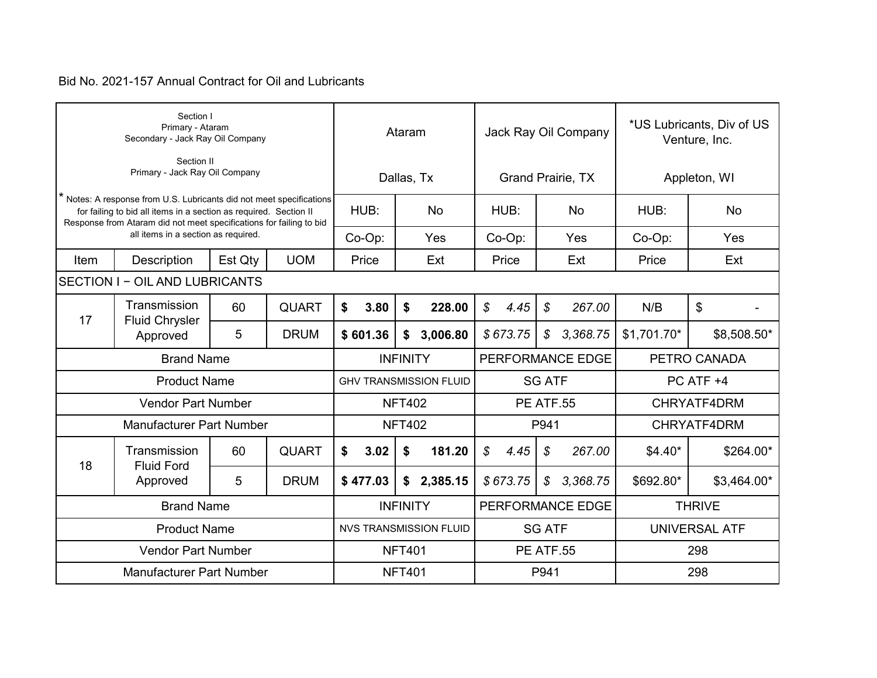|      | Section I<br>Primary - Ataram<br>Secondary - Jack Ray Oil Company                                                                                                                                              |         |              |                               | Ataram          |                               |                  |          |                            | Jack Ray Oil Company     | *US Lubricants, Div of US<br>Venture, Inc. |               |
|------|----------------------------------------------------------------------------------------------------------------------------------------------------------------------------------------------------------------|---------|--------------|-------------------------------|-----------------|-------------------------------|------------------|----------|----------------------------|--------------------------|--------------------------------------------|---------------|
|      | Section II<br>Primary - Jack Ray Oil Company                                                                                                                                                                   |         |              |                               |                 | Dallas, Tx                    |                  |          |                            | <b>Grand Prairie, TX</b> | Appleton, WI                               |               |
|      | Notes: A response from U.S. Lubricants did not meet specifications<br>for failing to bid all items in a section as required. Section II<br>Response from Ataram did not meet specifications for failing to bid |         |              | HUB:                          |                 | <b>No</b>                     |                  | HUB:     |                            | <b>No</b>                | HUB:                                       | No            |
|      | all items in a section as required.                                                                                                                                                                            |         |              | Co-Op:                        |                 | Yes                           |                  | Co-Op:   |                            | Yes                      | Co-Op:                                     | Yes           |
| Item | Description                                                                                                                                                                                                    | Est Qty | <b>UOM</b>   | Price                         |                 | Ext                           |                  | Price    |                            | Ext                      | Price                                      | Ext           |
|      | <b>SECTION I - OIL AND LUBRICANTS</b>                                                                                                                                                                          |         |              |                               |                 |                               |                  |          |                            |                          |                                            |               |
|      | Transmission                                                                                                                                                                                                   | 60      | <b>QUART</b> | \$<br>3.80                    | \$              | 228.00                        | $\mathcal{S}$    | 4.45     | $\boldsymbol{\mathcal{S}}$ | 267.00                   | N/B                                        | \$            |
|      | 17<br><b>Fluid Chrysler</b><br>5<br><b>DRUM</b><br>Approved                                                                                                                                                    |         |              | \$601.36                      | \$              | 3,006.80                      |                  | \$673.75 | $\mathcal{S}$              | 3,368.75                 | $$1,701.70*$                               | \$8,508.50*   |
|      | <b>Brand Name</b>                                                                                                                                                                                              |         |              | <b>INFINITY</b>               |                 |                               |                  |          |                            | PERFORMANCE EDGE         |                                            | PETRO CANADA  |
|      | <b>Product Name</b>                                                                                                                                                                                            |         |              | <b>GHV TRANSMISSION FLUID</b> |                 |                               |                  |          | <b>SG ATF</b>              |                          |                                            | PC ATF +4     |
|      | <b>Vendor Part Number</b>                                                                                                                                                                                      |         |              |                               | <b>NFT402</b>   |                               | <b>PE ATF.55</b> |          |                            |                          | CHRYATF4DRM                                |               |
|      | <b>Manufacturer Part Number</b>                                                                                                                                                                                |         |              |                               | <b>NFT402</b>   |                               |                  |          | P941                       |                          |                                            | CHRYATF4DRM   |
| 18   | Transmission<br><b>Fluid Ford</b>                                                                                                                                                                              | 60      | <b>QUART</b> | \$<br>3.02                    | \$              | 181.20                        | \$               | 4.45     | $\mathcal{L}$              | 267.00                   | $$4.40*$                                   | \$264.00*     |
|      | Approved                                                                                                                                                                                                       | 5       | <b>DRUM</b>  | \$477.03                      | \$              | 2,385.15                      |                  | \$673.75 | $\mathcal{S}$              | 3,368.75                 | \$692.80*                                  | \$3,464.00*   |
|      | <b>Brand Name</b>                                                                                                                                                                                              |         |              |                               | <b>INFINITY</b> |                               |                  |          |                            | PERFORMANCE EDGE         |                                            | <b>THRIVE</b> |
|      | <b>Product Name</b>                                                                                                                                                                                            |         |              |                               |                 | <b>NVS TRANSMISSION FLUID</b> |                  |          | <b>SG ATF</b>              |                          | UNIVERSAL ATF                              |               |
|      | <b>Vendor Part Number</b>                                                                                                                                                                                      |         |              |                               | <b>NFT401</b>   |                               |                  |          |                            | <b>PE ATF.55</b>         |                                            | 298           |
|      | <b>Manufacturer Part Number</b>                                                                                                                                                                                |         |              |                               | <b>NFT401</b>   |                               | P941             |          |                            | 298                      |                                            |               |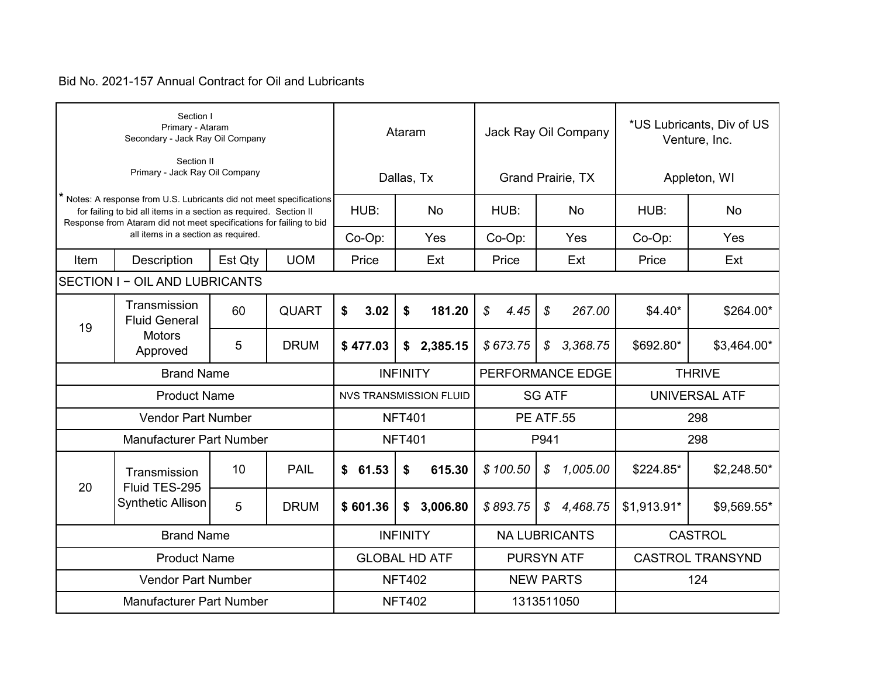|      | Section I<br>Primary - Ataram<br>Secondary - Jack Ray Oil Company                                                                                                                                              |         |             |                                                | Ataram                              |                       | Jack Ray Oil Company                   | *US Lubricants, Div of US<br>Venture, Inc. |                         |
|------|----------------------------------------------------------------------------------------------------------------------------------------------------------------------------------------------------------------|---------|-------------|------------------------------------------------|-------------------------------------|-----------------------|----------------------------------------|--------------------------------------------|-------------------------|
|      | Section II<br>Primary - Jack Ray Oil Company                                                                                                                                                                   |         |             |                                                | Dallas, Tx                          |                       | <b>Grand Prairie, TX</b>               | Appleton, WI                               |                         |
|      | Notes: A response from U.S. Lubricants did not meet specifications<br>for failing to bid all items in a section as required. Section II<br>Response from Ataram did not meet specifications for failing to bid |         |             | HUB:                                           | <b>No</b>                           | HUB:                  | <b>No</b>                              | HUB:                                       | No                      |
|      | all items in a section as required.                                                                                                                                                                            |         |             | Co-Op:                                         | Yes                                 | Co-Op:                | Yes                                    | Co-Op:                                     | Yes                     |
| Item | Description                                                                                                                                                                                                    | Est Qty | <b>UOM</b>  | Price                                          | Ext                                 | Price                 | Ext                                    | Price                                      | Ext                     |
|      | SECTION I - OIL AND LUBRICANTS                                                                                                                                                                                 |         |             |                                                |                                     |                       |                                        |                                            |                         |
|      | Transmission<br><b>QUART</b><br>60<br><b>Fluid General</b><br>19                                                                                                                                               |         |             |                                                | 181.20<br>\$                        | $\mathcal{L}$<br>4.45 | $\mathcal{L}$<br>267.00                | $$4.40*$                                   | \$264.00*               |
|      | <b>Motors</b><br>5<br><b>DRUM</b><br>Approved                                                                                                                                                                  |         |             | \$477.03                                       | 2,385.15<br>\$                      | \$673.75              | $\boldsymbol{\mathcal{S}}$<br>3,368.75 | \$692.80*                                  | \$3,464.00*             |
|      | <b>Brand Name</b>                                                                                                                                                                                              |         |             |                                                | PERFORMANCE EDGE<br><b>INFINITY</b> |                       |                                        |                                            | <b>THRIVE</b>           |
|      | <b>Product Name</b>                                                                                                                                                                                            |         |             | <b>NVS TRANSMISSION FLUID</b><br><b>SG ATF</b> |                                     |                       |                                        |                                            | UNIVERSAL ATF           |
|      | <b>Vendor Part Number</b>                                                                                                                                                                                      |         |             |                                                | <b>NFT401</b>                       |                       | <b>PE ATF.55</b>                       | 298                                        |                         |
|      | <b>Manufacturer Part Number</b>                                                                                                                                                                                |         |             |                                                | <b>NFT401</b>                       |                       | P941                                   |                                            | 298                     |
|      | Transmission                                                                                                                                                                                                   | 10      | <b>PAIL</b> | \$61.53                                        | 615.30<br>\$                        | \$100.50              | \$<br>1,005.00                         | \$224.85*                                  | $$2,248.50*$            |
|      | 20<br>Fluid TES-295<br><b>Synthetic Allison</b><br>5<br><b>DRUM</b>                                                                                                                                            |         |             |                                                | 3,006.80<br>\$                      | \$893.75              | $\mathcal{S}$<br>4,468.75              | \$1,913.91*                                | \$9,569.55*             |
|      | <b>Brand Name</b>                                                                                                                                                                                              |         |             |                                                | <b>INFINITY</b>                     |                       | <b>NA LUBRICANTS</b>                   |                                            | <b>CASTROL</b>          |
|      | <b>Product Name</b>                                                                                                                                                                                            |         |             |                                                | <b>GLOBAL HD ATF</b>                |                       | <b>PURSYN ATF</b>                      |                                            | <b>CASTROL TRANSYND</b> |
|      | <b>Vendor Part Number</b>                                                                                                                                                                                      |         |             | <b>NFT402</b>                                  |                                     | <b>NEW PARTS</b>      |                                        |                                            | 124                     |
|      | <b>Manufacturer Part Number</b>                                                                                                                                                                                |         |             |                                                | <b>NFT402</b>                       |                       | 1313511050                             |                                            |                         |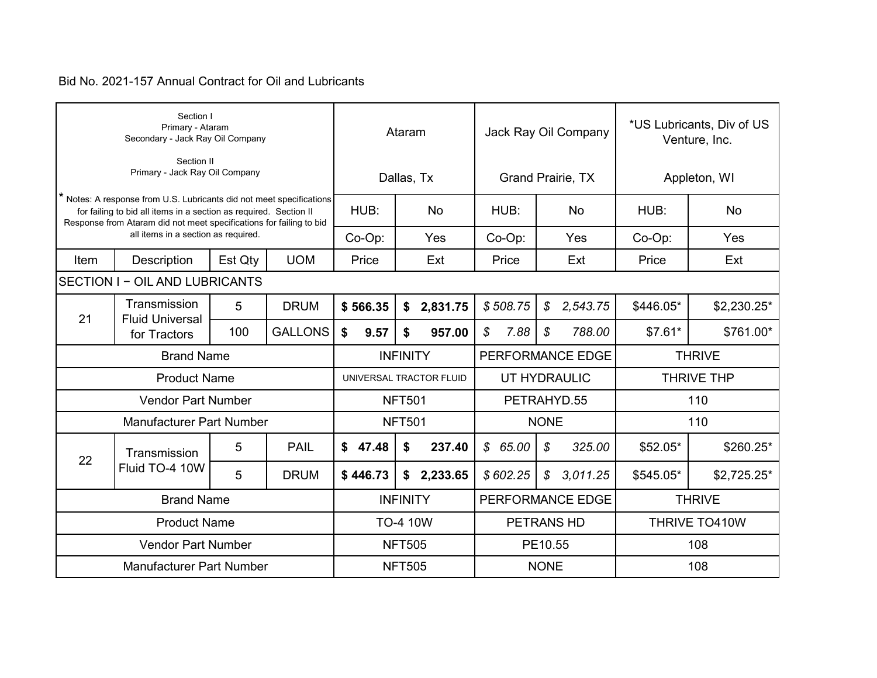|      | Section I<br>Primary - Ataram<br>Secondary - Jack Ray Oil Company                                                                                                                                              |         |             |                         | Ataram          |           | Jack Ray Oil Company |               |                          | *US Lubricants, Div of US<br>Venture, Inc. |                   |
|------|----------------------------------------------------------------------------------------------------------------------------------------------------------------------------------------------------------------|---------|-------------|-------------------------|-----------------|-----------|----------------------|---------------|--------------------------|--------------------------------------------|-------------------|
|      | Section II<br>Primary - Jack Ray Oil Company                                                                                                                                                                   |         |             |                         | Dallas, Tx      |           |                      |               | <b>Grand Prairie, TX</b> | Appleton, WI                               |                   |
|      | Notes: A response from U.S. Lubricants did not meet specifications<br>for failing to bid all items in a section as required. Section II<br>Response from Ataram did not meet specifications for failing to bid |         |             | HUB:                    |                 | <b>No</b> | HUB:                 |               | <b>No</b>                | HUB:                                       | <b>No</b>         |
|      | all items in a section as required.                                                                                                                                                                            |         |             | Co-Op:                  |                 | Yes       | Co-Op:               |               | Yes                      | Co-Op:                                     | Yes               |
| Item | Description                                                                                                                                                                                                    | Est Qty | <b>UOM</b>  | Price                   |                 | Ext       | Price                |               | Ext                      | Price                                      | Ext               |
|      | <b>SECTION I - OIL AND LUBRICANTS</b>                                                                                                                                                                          |         |             |                         |                 |           |                      |               |                          |                                            |                   |
|      | Transmission<br>5<br><b>DRUM</b><br>21<br><b>Fluid Universal</b>                                                                                                                                               |         |             | \$566.35                | \$              | 2,831.75  | \$508.75             | $\mathcal{S}$ | 2,543.75                 | \$446.05*                                  | \$2,230.25*       |
|      | <b>GALLONS</b><br>100<br>for Tractors                                                                                                                                                                          |         |             |                         | \$              | 957.00    | \$<br>7.88           | \$            | 788.00                   | $$7.61*$                                   | \$761.00*         |
|      | <b>Brand Name</b>                                                                                                                                                                                              |         |             | <b>INFINITY</b>         |                 |           | PERFORMANCE EDGE     |               |                          |                                            | <b>THRIVE</b>     |
|      | <b>Product Name</b>                                                                                                                                                                                            |         |             | UNIVERSAL TRACTOR FLUID |                 |           | UT HYDRAULIC         |               |                          |                                            | <b>THRIVE THP</b> |
|      | <b>Vendor Part Number</b>                                                                                                                                                                                      |         |             |                         | <b>NFT501</b>   |           | PETRAHYD.55          |               |                          | 110                                        |                   |
|      | <b>Manufacturer Part Number</b>                                                                                                                                                                                |         |             |                         | <b>NFT501</b>   |           |                      | <b>NONE</b>   |                          |                                            | 110               |
| 22   | Transmission                                                                                                                                                                                                   | 5       | <b>PAIL</b> | \$<br>47.48             | \$              | 237.40    | \$65.00              | \$            | 325.00                   | \$52.05*                                   | $$260.25*$        |
|      | Fluid TO-4 10W                                                                                                                                                                                                 | 5       | <b>DRUM</b> | \$446.73                | \$              | 2,233.65  | \$602.25             | $\mathcal{S}$ | 3,011.25                 | \$545.05*                                  | \$2,725.25*       |
|      | <b>Brand Name</b>                                                                                                                                                                                              |         |             |                         | <b>INFINITY</b> |           | PERFORMANCE EDGE     |               |                          |                                            | <b>THRIVE</b>     |
|      | <b>Product Name</b>                                                                                                                                                                                            |         |             |                         | <b>TO-4 10W</b> |           | PETRANS HD           |               |                          |                                            | THRIVE TO410W     |
|      | <b>Vendor Part Number</b>                                                                                                                                                                                      |         |             | <b>NFT505</b>           |                 | PE10.55   |                      |               |                          | 108                                        |                   |
|      | <b>Manufacturer Part Number</b>                                                                                                                                                                                |         |             |                         | <b>NFT505</b>   |           | <b>NONE</b>          |               |                          | 108                                        |                   |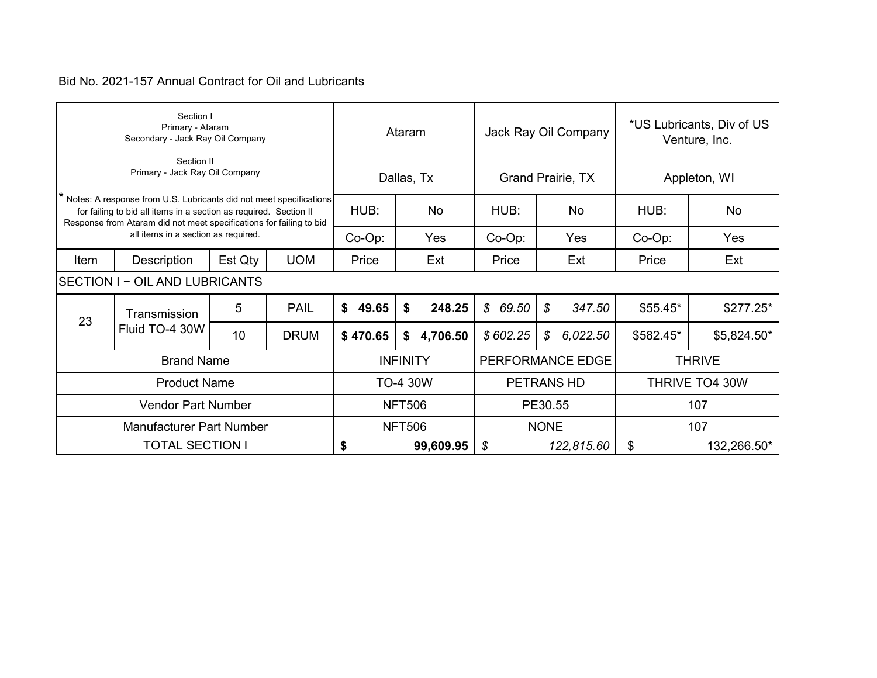|      | Section I<br>Primary - Ataram<br>Secondary - Jack Ray Oil Company                                                                                                                                              |    |             |               | Ataram          |             | Jack Ray Oil Company    | *US Lubricants, Div of US<br>Venture, Inc. |                |  |
|------|----------------------------------------------------------------------------------------------------------------------------------------------------------------------------------------------------------------|----|-------------|---------------|-----------------|-------------|-------------------------|--------------------------------------------|----------------|--|
|      | Section II<br>Primary - Jack Ray Oil Company                                                                                                                                                                   |    |             |               | Dallas, Tx      |             | Grand Prairie, TX       |                                            | Appleton, WI   |  |
|      | Notes: A response from U.S. Lubricants did not meet specifications<br>for failing to bid all items in a section as required. Section II<br>Response from Ataram did not meet specifications for failing to bid |    |             | HUB:          | No              | HUB:        | No                      | HUB:                                       | <b>No</b>      |  |
|      | all items in a section as required.<br>Est Qty<br>Description                                                                                                                                                  |    |             |               | Yes             | $Co-Op$ :   | Yes                     | $Co-Op$ :                                  | Yes            |  |
| Item |                                                                                                                                                                                                                |    | <b>UOM</b>  | Price         | Ext             | Price       | Ext                     | Price                                      | Ext            |  |
|      | <b>SECTION I - OIL AND LUBRICANTS</b>                                                                                                                                                                          |    |             |               |                 |             |                         |                                            |                |  |
| 23   | Transmission                                                                                                                                                                                                   | 5  | <b>PAIL</b> | \$<br>49.65   | \$<br>248.25    | \$69.50     | $\mathcal{S}$<br>347.50 | $$55.45*$                                  | $$277.25*$     |  |
|      | Fluid TO-4 30W                                                                                                                                                                                                 | 10 | <b>DRUM</b> | \$470.65      | 4,706.50<br>\$  | \$602.25    | 6,022.50<br>\$          | \$582.45*                                  | \$5,824.50*    |  |
|      | <b>Brand Name</b>                                                                                                                                                                                              |    |             |               | <b>INFINITY</b> |             | PERFORMANCE EDGE        |                                            | <b>THRIVE</b>  |  |
|      | <b>Product Name</b>                                                                                                                                                                                            |    |             |               | TO-4 30W        |             | PETRANS HD              |                                            | THRIVE TO4 30W |  |
|      | <b>Vendor Part Number</b>                                                                                                                                                                                      |    |             |               | <b>NFT506</b>   |             | PE30.55                 |                                            | 107            |  |
|      | Manufacturer Part Number                                                                                                                                                                                       |    |             | <b>NFT506</b> |                 | <b>NONE</b> |                         | 107                                        |                |  |
|      | <b>TOTAL SECTION I</b>                                                                                                                                                                                         |    |             |               | 99,609.95       | \$          | 122,815.60              | \$<br>132,266.50*                          |                |  |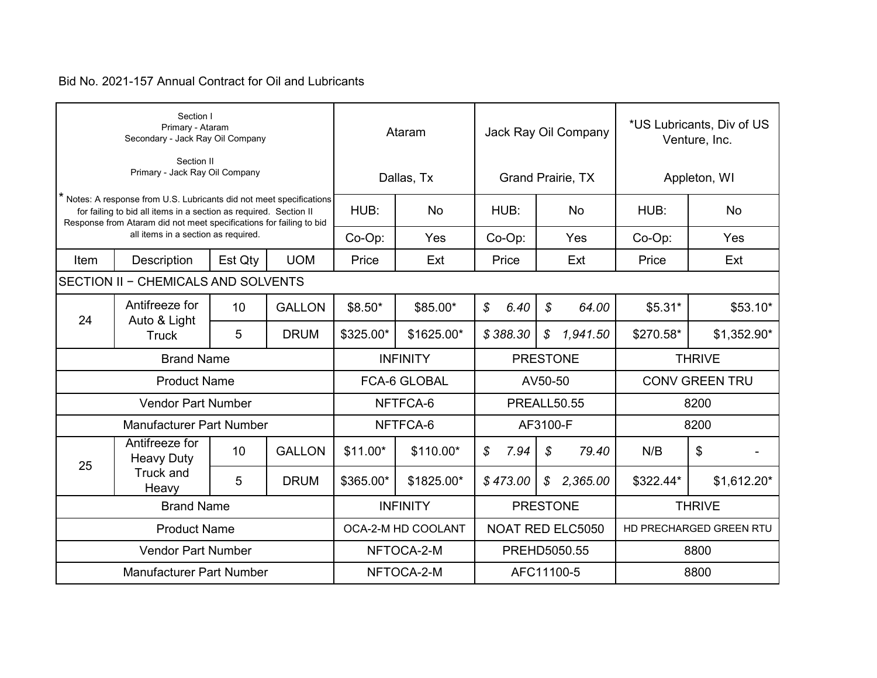| Section I<br>Primary - Ataram<br>Secondary - Jack Ray Oil Company                                                                                                                                                                                       |                                                           |                 |                                    | Ataram             |                                |                    |              |                       | Jack Ray Oil Company     | *US Lubricants, Div of US<br>Venture, Inc. |              |  |  |
|---------------------------------------------------------------------------------------------------------------------------------------------------------------------------------------------------------------------------------------------------------|-----------------------------------------------------------|-----------------|------------------------------------|--------------------|--------------------------------|--------------------|--------------|-----------------------|--------------------------|--------------------------------------------|--------------|--|--|
| Section II<br>Primary - Jack Ray Oil Company                                                                                                                                                                                                            |                                                           |                 |                                    | Dallas, Tx         |                                |                    |              |                       | <b>Grand Prairie, TX</b> | Appleton, WI                               |              |  |  |
| * Notes: A response from U.S. Lubricants did not meet specifications<br>for failing to bid all items in a section as required. Section II<br>Response from Ataram did not meet specifications for failing to bid<br>all items in a section as required. |                                                           |                 | HUB:                               | <b>No</b>          |                                | HUB:               |              | <b>No</b>             | HUB:                     | No                                         |              |  |  |
|                                                                                                                                                                                                                                                         |                                                           |                 | Co-Op:                             | Yes                | Co-Op:                         |                    | Yes          |                       | Co-Op:<br>Yes            |                                            |              |  |  |
| Item                                                                                                                                                                                                                                                    | Description                                               | Est Qty         | <b>UOM</b>                         | Price              | Ext                            | Price              |              | Ext                   |                          | Price                                      | Ext          |  |  |
| <b>SECTION II - CHEMICALS AND SOLVENTS</b>                                                                                                                                                                                                              |                                                           |                 |                                    |                    |                                |                    |              |                       |                          |                                            |              |  |  |
| 24                                                                                                                                                                                                                                                      | Antifreeze for<br>Auto & Light<br><b>Truck</b>            | 10 <sup>°</sup> | <b>GALLON</b>                      | $$8.50*$           | \$85.00*                       | \$                 | 6.40         | \$                    | 64.00                    | $$5.31*$                                   | $$53.10*$    |  |  |
|                                                                                                                                                                                                                                                         |                                                           | 5               | <b>DRUM</b>                        | \$325.00*          | \$1625.00*                     |                    | \$388.30     | $\mathcal{S}$         | 1,941.50                 | \$270.58*                                  | $$1,352.90*$ |  |  |
|                                                                                                                                                                                                                                                         | <b>Brand Name</b>                                         |                 | <b>PRESTONE</b><br><b>INFINITY</b> |                    |                                | <b>THRIVE</b>      |              |                       |                          |                                            |              |  |  |
| <b>Product Name</b>                                                                                                                                                                                                                                     |                                                           |                 |                                    |                    | <b>FCA-6 GLOBAL</b><br>AV50-50 |                    |              | <b>CONV GREEN TRU</b> |                          |                                            |              |  |  |
| <b>Vendor Part Number</b>                                                                                                                                                                                                                               |                                                           |                 |                                    | NFTFCA-6           |                                | <b>PREALL50.55</b> |              |                       |                          | 8200                                       |              |  |  |
|                                                                                                                                                                                                                                                         | <b>Manufacturer Part Number</b>                           |                 | NFTFCA-6                           | AF3100-F           |                                |                    |              | 8200                  |                          |                                            |              |  |  |
| 25                                                                                                                                                                                                                                                      | Antifreeze for<br><b>Heavy Duty</b><br>Truck and<br>Heavy | 10              | <b>GALLON</b>                      | $$11.00*$          | \$110.00*                      | \$                 | 7.94         | \$                    | 79.40                    | N/B                                        | \$           |  |  |
|                                                                                                                                                                                                                                                         |                                                           | 5               | <b>DRUM</b>                        | \$365.00*          | \$1825.00*                     |                    | \$473.00     | $\mathcal{S}$         | 2,365.00                 | \$322.44*                                  | $$1,612.20*$ |  |  |
| <b>Brand Name</b>                                                                                                                                                                                                                                       |                                                           |                 |                                    | <b>INFINITY</b>    |                                | <b>PRESTONE</b>    |              |                       |                          | <b>THRIVE</b>                              |              |  |  |
| <b>Product Name</b>                                                                                                                                                                                                                                     |                                                           |                 |                                    | OCA-2-M HD COOLANT |                                | NOAT RED ELC5050   |              |                       |                          | HD PRECHARGED GREEN RTU                    |              |  |  |
| <b>Vendor Part Number</b>                                                                                                                                                                                                                               |                                                           |                 |                                    | NFTOCA-2-M         |                                |                    | PREHD5050.55 |                       |                          | 8800                                       |              |  |  |
| <b>Manufacturer Part Number</b>                                                                                                                                                                                                                         |                                                           |                 |                                    |                    | NFTOCA-2-M                     |                    |              | AFC11100-5            |                          |                                            | 8800         |  |  |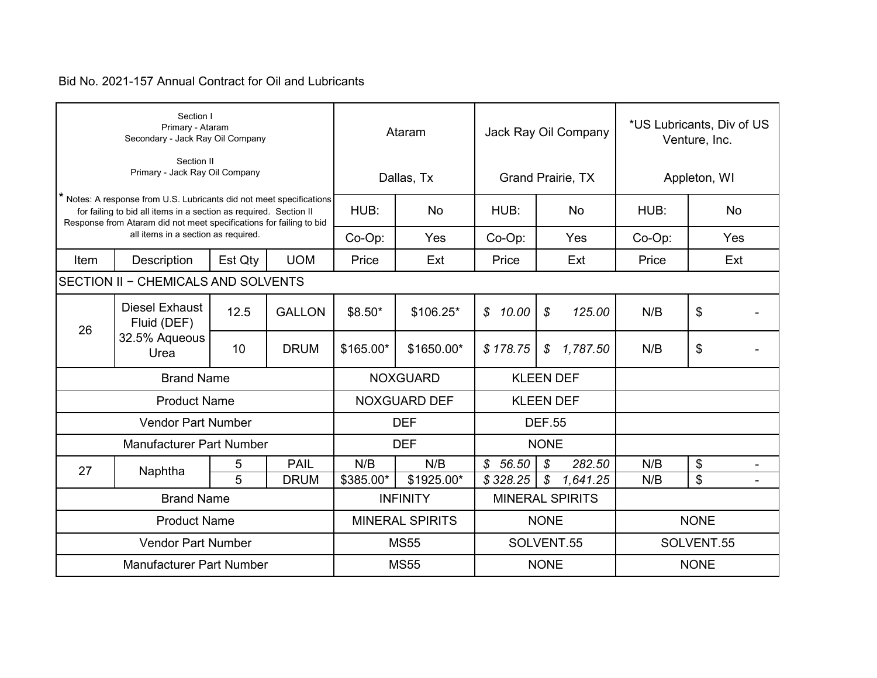|                                                                                                                                                                                                                                                       | Section I<br>Primary - Ataram<br>Secondary - Jack Ray Oil Company |         |               | Ataram          |                        | Jack Ray Oil Company   | *US Lubricants, Div of US<br>Venture, Inc. |              |     |  |
|-------------------------------------------------------------------------------------------------------------------------------------------------------------------------------------------------------------------------------------------------------|-------------------------------------------------------------------|---------|---------------|-----------------|------------------------|------------------------|--------------------------------------------|--------------|-----|--|
| Section II<br>Primary - Jack Ray Oil Company                                                                                                                                                                                                          |                                                                   |         |               |                 | Dallas, Tx             |                        | Grand Prairie, TX                          | Appleton, WI |     |  |
| Notes: A response from U.S. Lubricants did not meet specifications<br>for failing to bid all items in a section as required. Section II<br>Response from Ataram did not meet specifications for failing to bid<br>all items in a section as required. |                                                                   |         | HUB:          | <b>No</b>       | HUB:                   | <b>No</b>              | HUB:                                       | <b>No</b>    |     |  |
|                                                                                                                                                                                                                                                       |                                                                   |         | Co-Op:        | Yes             | Co-Op:                 | Yes                    | Co-Op:                                     | Yes          |     |  |
| Item                                                                                                                                                                                                                                                  | <b>Description</b>                                                | Est Qty | <b>UOM</b>    | Price           | Ext                    | Price                  | Ext                                        | Price        | Ext |  |
|                                                                                                                                                                                                                                                       | SECTION II - CHEMICALS AND SOLVENTS                               |         |               |                 |                        |                        |                                            |              |     |  |
| 26                                                                                                                                                                                                                                                    | <b>Diesel Exhaust</b><br>Fluid (DEF)<br>32.5% Aqueous<br>Urea     | 12.5    | <b>GALLON</b> | $$8.50*$        | $$106.25*$             | \$10.00                | \$<br>125.00                               | N/B          | \$  |  |
|                                                                                                                                                                                                                                                       |                                                                   | 10      | <b>DRUM</b>   | \$165.00*       | \$1650.00*             | \$178.75               | 1,787.50<br>$\mathcal{S}$                  | N/B          | \$  |  |
|                                                                                                                                                                                                                                                       | <b>Brand Name</b>                                                 |         |               | <b>NOXGUARD</b> |                        | <b>KLEEN DEF</b>       |                                            |              |     |  |
| <b>Product Name</b>                                                                                                                                                                                                                                   |                                                                   |         |               |                 | <b>NOXGUARD DEF</b>    |                        | <b>KLEEN DEF</b>                           |              |     |  |
| <b>Vendor Part Number</b>                                                                                                                                                                                                                             |                                                                   |         |               |                 | <b>DEF</b>             |                        | <b>DEF.55</b>                              |              |     |  |
| <b>Manufacturer Part Number</b>                                                                                                                                                                                                                       |                                                                   |         |               |                 | <b>DEF</b>             |                        | <b>NONE</b>                                |              |     |  |
| 27                                                                                                                                                                                                                                                    | Naphtha                                                           | 5       | <b>PAIL</b>   | N/B             | N/B                    | $\mathcal{L}$<br>56.50 | \$<br>282.50                               | N/B          | \$  |  |
|                                                                                                                                                                                                                                                       |                                                                   | 5       | <b>DRUM</b>   | \$385.00*       | \$1925.00*             | \$328.25               | $\boldsymbol{\mathcal{S}}$<br>1,641.25     | N/B          | \$  |  |
| <b>Brand Name</b>                                                                                                                                                                                                                                     |                                                                   |         |               | <b>INFINITY</b> |                        |                        | <b>MINERAL SPIRITS</b>                     |              |     |  |
| <b>Product Name</b>                                                                                                                                                                                                                                   |                                                                   |         |               |                 | <b>MINERAL SPIRITS</b> |                        | <b>NONE</b>                                | <b>NONE</b>  |     |  |
| <b>Vendor Part Number</b>                                                                                                                                                                                                                             |                                                                   |         |               |                 | <b>MS55</b>            |                        | SOLVENT.55                                 | SOLVENT.55   |     |  |
| <b>Manufacturer Part Number</b>                                                                                                                                                                                                                       |                                                                   |         |               |                 | <b>MS55</b>            |                        | <b>NONE</b>                                | <b>NONE</b>  |     |  |